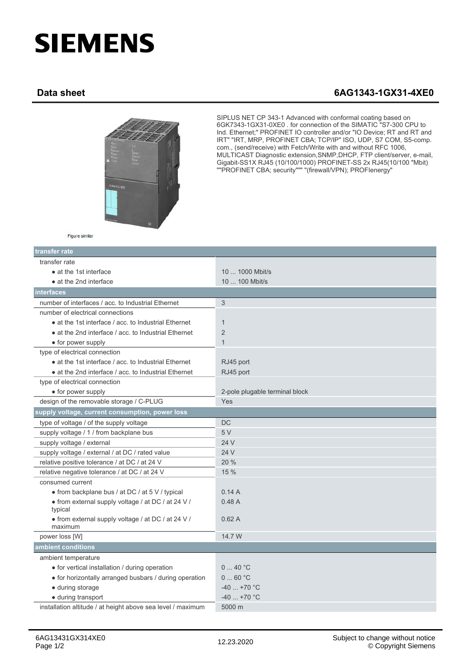## **SIEMENS**

## **Data sheet 6AG1343-1GX31-4XE0**



SIPLUS NET CP 343-1 Advanced with conformal coating based on 6GK7343-1GX31-0XE0 . for connection of the SIMATIC "S7-300 CPU to Ind. Ethernet;" PROFINET IO controller and/or "IO Device; RT and RT and IRT" "IRT, MRP, PROFINET CBA; TCP/IP" ISO, UDP, S7 COM, S5-comp. com., (send/receive) with Fetch/Write with and without RFC 1006, MULTICAST Diagnostic extension,SNMP,DHCP, FTP client/server, e-mail, Gigabit-SS1X RJ45 (10/100/1000) PROFINET-SS 2x RJ45(10/100 "Mbit) ""PROFINET CBA; security""" "(firewall/VPN); PROFIenergy"

| Figure similar |  |
|----------------|--|
|                |  |
|                |  |

| transfer rate                                                 |                                |  |
|---------------------------------------------------------------|--------------------------------|--|
| transfer rate                                                 |                                |  |
| • at the 1st interface                                        | 10  1000 Mbit/s                |  |
| • at the 2nd interface                                        | 10  100 Mbit/s                 |  |
| interfaces                                                    |                                |  |
| number of interfaces / acc. to Industrial Ethernet            | 3                              |  |
| number of electrical connections                              |                                |  |
| • at the 1st interface / acc. to Industrial Ethernet          | $\mathbf{1}$                   |  |
| • at the 2nd interface / acc. to Industrial Ethernet          | 2                              |  |
| • for power supply                                            | $\mathbf{1}$                   |  |
| type of electrical connection                                 |                                |  |
| • at the 1st interface / acc. to Industrial Ethernet          | RJ45 port                      |  |
| • at the 2nd interface / acc. to Industrial Ethernet          | RJ45 port                      |  |
| type of electrical connection                                 |                                |  |
| • for power supply                                            | 2-pole plugable terminal block |  |
| design of the removable storage / C-PLUG                      | Yes                            |  |
| supply voltage, current consumption, power loss               |                                |  |
| type of voltage / of the supply voltage                       | <b>DC</b>                      |  |
| supply voltage / 1 / from backplane bus                       | 5 V                            |  |
| supply voltage / external                                     | 24 V                           |  |
| supply voltage / external / at DC / rated value               | 24 V                           |  |
| relative positive tolerance / at DC / at 24 V                 | 20 %                           |  |
| relative negative tolerance / at DC / at 24 V                 | 15 %                           |  |
| consumed current                                              |                                |  |
| • from backplane bus / at DC / at 5 V / typical               | 0.14A                          |  |
| • from external supply voltage / at DC / at 24 V /<br>typical | 0.48A                          |  |
| • from external supply voltage / at DC / at 24 V /<br>maximum | 0.62A                          |  |
| power loss [W]                                                | 14.7 W                         |  |
| ambient conditions                                            |                                |  |
| ambient temperature                                           |                                |  |
| • for vertical installation / during operation                | 040 °C                         |  |
| • for horizontally arranged busbars / during operation        | 060 °C                         |  |
| · during storage                                              | $-40+70$ °C                    |  |
| • during transport                                            | $-40$ +70 °C                   |  |
| installation altitude / at height above sea level / maximum   | 5000 m                         |  |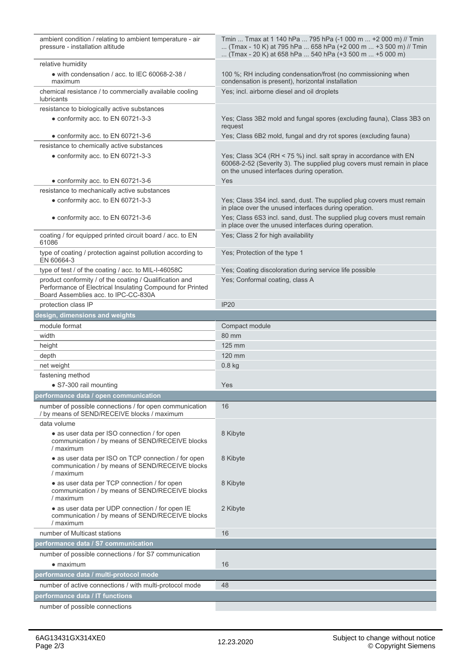| ambient condition / relating to ambient temperature - air<br>pressure - installation altitude                                                                | Tmin  Tmax at 1 140 hPa  795 hPa (-1 000 m  +2 000 m) // Tmin<br>(Tmax - 10 K) at 795 hPa  658 hPa (+2 000 m  +3 500 m) // Tmin<br>(Tmax - 20 K) at 658 hPa  540 hPa (+3 500 m  +5 000 m) |
|--------------------------------------------------------------------------------------------------------------------------------------------------------------|-------------------------------------------------------------------------------------------------------------------------------------------------------------------------------------------|
| relative humidity                                                                                                                                            |                                                                                                                                                                                           |
| • with condensation / acc. to IEC 60068-2-38 /<br>maximum                                                                                                    | 100 %; RH including condensation/frost (no commissioning when<br>condensation is present), horizontal installation                                                                        |
| chemical resistance / to commercially available cooling<br><b>lubricants</b>                                                                                 | Yes; incl. airborne diesel and oil droplets                                                                                                                                               |
| resistance to biologically active substances                                                                                                                 |                                                                                                                                                                                           |
| • conformity acc. to EN 60721-3-3                                                                                                                            | Yes; Class 3B2 mold and fungal spores (excluding fauna), Class 3B3 on<br>request                                                                                                          |
| • conformity acc. to EN 60721-3-6                                                                                                                            | Yes; Class 6B2 mold, fungal and dry rot spores (excluding fauna)                                                                                                                          |
| resistance to chemically active substances                                                                                                                   |                                                                                                                                                                                           |
| • conformity acc. to EN 60721-3-3                                                                                                                            | Yes; Class 3C4 (RH < 75 %) incl. salt spray in accordance with EN<br>60068-2-52 (Severity 3). The supplied plug covers must remain in place<br>on the unused interfaces during operation. |
| • conformity acc. to EN 60721-3-6                                                                                                                            | Yes                                                                                                                                                                                       |
| resistance to mechanically active substances                                                                                                                 |                                                                                                                                                                                           |
| • conformity acc. to EN 60721-3-3                                                                                                                            | Yes; Class 3S4 incl. sand, dust. The supplied plug covers must remain<br>in place over the unused interfaces during operation.                                                            |
| • conformity acc. to EN 60721-3-6                                                                                                                            | Yes; Class 6S3 incl. sand, dust. The supplied plug covers must remain<br>in place over the unused interfaces during operation.                                                            |
| coating / for equipped printed circuit board / acc. to EN<br>61086                                                                                           | Yes; Class 2 for high availability                                                                                                                                                        |
| type of coating / protection against pollution according to<br>EN 60664-3                                                                                    | Yes: Protection of the type 1                                                                                                                                                             |
| type of test / of the coating / acc. to MIL-I-46058C                                                                                                         | Yes; Coating discoloration during service life possible                                                                                                                                   |
| product conformity / of the coating / Qualification and<br>Performance of Electrical Insulating Compound for Printed<br>Board Assemblies acc. to IPC-CC-830A | Yes; Conformal coating, class A                                                                                                                                                           |
| protection class IP                                                                                                                                          | <b>IP20</b>                                                                                                                                                                               |
| design, dimensions and weights                                                                                                                               |                                                                                                                                                                                           |
| module format                                                                                                                                                | Compact module                                                                                                                                                                            |
| width                                                                                                                                                        | 80 mm                                                                                                                                                                                     |
| height                                                                                                                                                       | 125 mm                                                                                                                                                                                    |
| depth                                                                                                                                                        | 120 mm                                                                                                                                                                                    |
| net weight                                                                                                                                                   | $0.8$ kg                                                                                                                                                                                  |
| fastening method                                                                                                                                             |                                                                                                                                                                                           |
| • S7-300 rail mounting                                                                                                                                       | Yes                                                                                                                                                                                       |
| performance data / open communication                                                                                                                        |                                                                                                                                                                                           |
| number of possible connections / for open communication<br>/ by means of SEND/RECEIVE blocks / maximum                                                       | 16                                                                                                                                                                                        |
| data volume                                                                                                                                                  |                                                                                                                                                                                           |
| • as user data per ISO connection / for open<br>communication / by means of SEND/RECEIVE blocks<br>/ maximum                                                 | 8 Kibyte                                                                                                                                                                                  |
| • as user data per ISO on TCP connection / for open<br>communication / by means of SEND/RECEIVE blocks<br>/ maximum                                          | 8 Kibyte                                                                                                                                                                                  |
| • as user data per TCP connection / for open<br>communication / by means of SEND/RECEIVE blocks<br>/ maximum                                                 | 8 Kibyte                                                                                                                                                                                  |
| • as user data per UDP connection / for open IE<br>communication / by means of SEND/RECEIVE blocks<br>/ maximum                                              | 2 Kibyte                                                                                                                                                                                  |
| number of Multicast stations                                                                                                                                 | 16                                                                                                                                                                                        |
| performance data / S7 communication                                                                                                                          |                                                                                                                                                                                           |
| number of possible connections / for S7 communication                                                                                                        |                                                                                                                                                                                           |
| $\bullet$ maximum                                                                                                                                            | 16                                                                                                                                                                                        |
| performance data / multi-protocol mode                                                                                                                       |                                                                                                                                                                                           |
| number of active connections / with multi-protocol mode                                                                                                      | 48                                                                                                                                                                                        |
| performance data / IT functions                                                                                                                              |                                                                                                                                                                                           |
| number of possible connections                                                                                                                               |                                                                                                                                                                                           |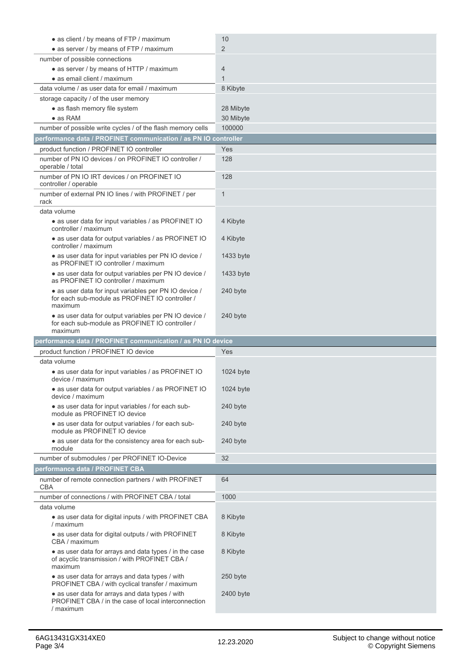|                                                                                                                                                       | 10                    |
|-------------------------------------------------------------------------------------------------------------------------------------------------------|-----------------------|
| · as client / by means of FTP / maximum                                                                                                               | $\overline{2}$        |
| • as server / by means of FTP / maximum                                                                                                               |                       |
| number of possible connections                                                                                                                        |                       |
| • as server / by means of HTTP / maximum                                                                                                              | 4                     |
| • as email client / maximum                                                                                                                           | $\mathbf{1}$          |
| data volume / as user data for email / maximum                                                                                                        | 8 Kibyte              |
| storage capacity / of the user memory                                                                                                                 |                       |
| • as flash memory file system                                                                                                                         | 28 Mibyte             |
| $\bullet$ as RAM                                                                                                                                      | 30 Mibyte             |
| number of possible write cycles / of the flash memory cells                                                                                           | 100000                |
| performance data / PROFINET communication / as PN IO controller                                                                                       |                       |
| product function / PROFINET IO controller                                                                                                             | Yes                   |
| number of PN IO devices / on PROFINET IO controller /<br>operable / total                                                                             | 128                   |
| number of PN IO IRT devices / on PROFINET IO<br>controller / operable                                                                                 | 128                   |
| number of external PN IO lines / with PROFINET / per<br>rack                                                                                          | $\mathbf{1}$          |
| data volume                                                                                                                                           |                       |
| • as user data for input variables / as PROFINET IO<br>controller / maximum                                                                           | 4 Kibyte              |
| • as user data for output variables / as PROFINET IO<br>controller / maximum                                                                          | 4 Kibyte              |
| • as user data for input variables per PN IO device /<br>as PROFINET IO controller / maximum                                                          | 1433 byte             |
| • as user data for output variables per PN IO device /<br>as PROFINET IO controller / maximum                                                         | 1433 byte             |
| • as user data for input variables per PN IO device /<br>for each sub-module as PROFINET IO controller /<br>maximum                                   | 240 byte              |
| • as user data for output variables per PN IO device /<br>for each sub-module as PROFINET IO controller /                                             | 240 byte              |
| maximum                                                                                                                                               |                       |
|                                                                                                                                                       |                       |
| performance data / PROFINET communication / as PN IO device                                                                                           | Yes                   |
| product function / PROFINET IO device<br>data volume                                                                                                  |                       |
| • as user data for input variables / as PROFINET IO<br>device / maximum                                                                               | 1024 byte             |
| · as user data for output variables / as PROFINET IO<br>device / maximum                                                                              | 1024 byte             |
| • as user data for input variables / for each sub-<br>module as PROFINET IO device                                                                    | 240 byte              |
| • as user data for output variables / for each sub-<br>module as PROFINET IO device                                                                   | 240 byte              |
| • as user data for the consistency area for each sub-<br>module                                                                                       | 240 byte              |
| number of submodules / per PROFINET IO-Device                                                                                                         | 32                    |
| performance data / PROFINET CBA                                                                                                                       |                       |
| number of remote connection partners / with PROFINET<br><b>CBA</b>                                                                                    | 64                    |
| number of connections / with PROFINET CBA / total                                                                                                     | 1000                  |
| data volume                                                                                                                                           |                       |
| · as user data for digital inputs / with PROFINET CBA<br>/ maximum                                                                                    | 8 Kibyte              |
| • as user data for digital outputs / with PROFINET<br>CBA / maximum                                                                                   | 8 Kibyte              |
| • as user data for arrays and data types / in the case<br>of acyclic transmission / with PROFINET CBA /<br>maximum                                    | 8 Kibyte              |
| • as user data for arrays and data types / with<br>PROFINET CBA / with cyclical transfer / maximum<br>• as user data for arrays and data types / with | 250 byte<br>2400 byte |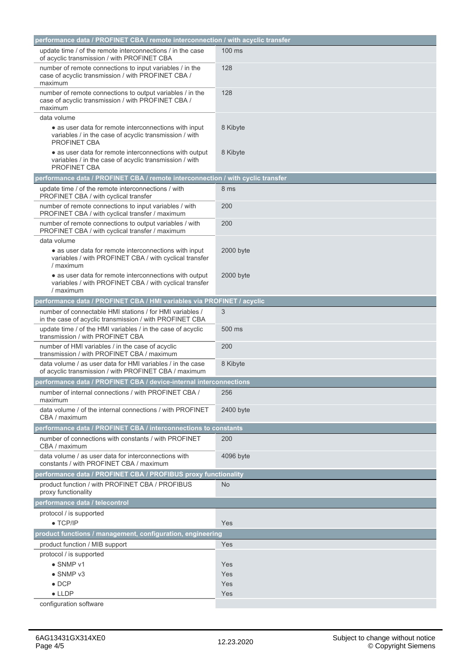| performance data / PROFINET CBA / remote interconnection / with acyclic transfer                                                        |                |  |
|-----------------------------------------------------------------------------------------------------------------------------------------|----------------|--|
| update time / of the remote interconnections / in the case<br>of acyclic transmission / with PROFINET CBA                               | 100 ms         |  |
| number of remote connections to input variables / in the<br>case of acyclic transmission / with PROFINET CBA /<br>maximum               | 128            |  |
| number of remote connections to output variables / in the<br>case of acyclic transmission / with PROFINET CBA /<br>maximum              | 128            |  |
| data volume                                                                                                                             |                |  |
| • as user data for remote interconnections with input<br>variables / in the case of acyclic transmission / with<br><b>PROFINET CBA</b>  | 8 Kibyte       |  |
| • as user data for remote interconnections with output<br>variables / in the case of acyclic transmission / with<br><b>PROFINET CBA</b> | 8 Kibyte       |  |
| performance data / PROFINET CBA / remote interconnection / with cyclic transfer                                                         |                |  |
| update time / of the remote interconnections / with<br>PROFINET CBA / with cyclical transfer                                            | 8 ms           |  |
| number of remote connections to input variables / with<br>PROFINET CBA / with cyclical transfer / maximum                               | 200            |  |
| number of remote connections to output variables / with<br>PROFINET CBA / with cyclical transfer / maximum                              | 200            |  |
| data volume                                                                                                                             |                |  |
| • as user data for remote interconnections with input<br>variables / with PROFINET CBA / with cyclical transfer<br>/ maximum            | 2000 byte      |  |
| • as user data for remote interconnections with output<br>variables / with PROFINET CBA / with cyclical transfer<br>/ maximum           | 2000 byte      |  |
| performance data / PROFINET CBA / HMI variables via PROFINET / acyclic                                                                  |                |  |
| number of connectable HMI stations / for HMI variables /<br>in the case of acyclic transmission / with PROFINET CBA                     | 3              |  |
| update time / of the HMI variables / in the case of acyclic<br>transmission / with PROFINET CBA                                         | 500 ms         |  |
| number of HMI variables / in the case of acyclic<br>transmission / with PROFINET CBA / maximum                                          | 200            |  |
| data volume / as user data for HMI variables / in the case<br>of acyclic transmission / with PROFINET CBA / maximum                     | 8 Kibyte       |  |
| performance data / PROFINET CBA / device-internal interconnections                                                                      |                |  |
| number of internal connections / with PROFINET CBA /<br>maximum                                                                         | 256            |  |
| data volume / of the internal connections / with PROFINET<br>CBA / maximum                                                              | 2400 byte      |  |
| performance data / PROFINET CBA / interconnections to constants                                                                         |                |  |
| number of connections with constants / with PROFINET<br>CBA / maximum                                                                   | 200            |  |
| data volume / as user data for interconnections with<br>constants / with PROFINET CBA / maximum                                         | 4096 byte      |  |
| performance data / PROFINET CBA / PROFIBUS proxy functionality                                                                          |                |  |
| product function / with PROFINET CBA / PROFIBUS<br>proxy functionality                                                                  | N <sub>o</sub> |  |
| performance data / telecontrol                                                                                                          |                |  |
| protocol / is supported                                                                                                                 |                |  |
| $\bullet$ TCP/IP                                                                                                                        | Yes            |  |
| product functions / management, configuration, engineering                                                                              |                |  |
| product function / MIB support                                                                                                          | Yes            |  |
| protocol / is supported                                                                                                                 |                |  |
| $\bullet$ SNMP $v1$                                                                                                                     | Yes            |  |
| $\bullet$ SNMP $v3$                                                                                                                     | Yes            |  |
| $\bullet$ DCP                                                                                                                           | Yes            |  |
| $\bullet$ LLDP                                                                                                                          | Yes            |  |
| configuration software                                                                                                                  |                |  |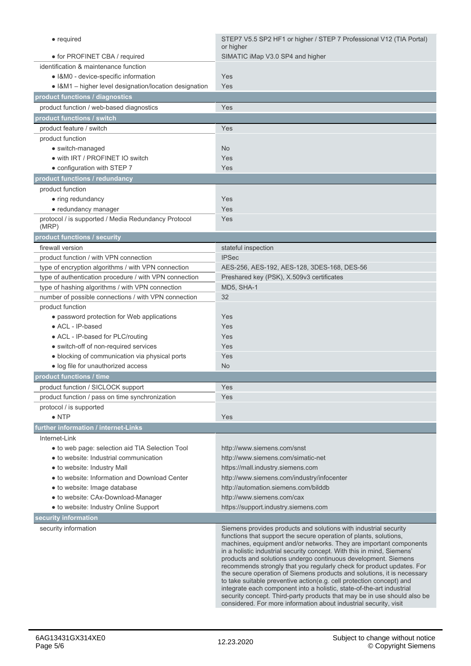| • required                                                                              | STEP7 V5.5 SP2 HF1 or higher / STEP 7 Professional V12 (TIA Portal)                                                                                                                                                                                                                                                                                                                                                                                                                                                                                                                                                                                                                                                                                                                                           |
|-----------------------------------------------------------------------------------------|---------------------------------------------------------------------------------------------------------------------------------------------------------------------------------------------------------------------------------------------------------------------------------------------------------------------------------------------------------------------------------------------------------------------------------------------------------------------------------------------------------------------------------------------------------------------------------------------------------------------------------------------------------------------------------------------------------------------------------------------------------------------------------------------------------------|
| • for PROFINET CBA / required                                                           | or higher<br>SIMATIC iMap V3.0 SP4 and higher                                                                                                                                                                                                                                                                                                                                                                                                                                                                                                                                                                                                                                                                                                                                                                 |
| identification & maintenance function                                                   |                                                                                                                                                                                                                                                                                                                                                                                                                                                                                                                                                                                                                                                                                                                                                                                                               |
| · I&M0 - device-specific information                                                    | Yes                                                                                                                                                                                                                                                                                                                                                                                                                                                                                                                                                                                                                                                                                                                                                                                                           |
| • I&M1 - higher level designation/location designation                                  | Yes                                                                                                                                                                                                                                                                                                                                                                                                                                                                                                                                                                                                                                                                                                                                                                                                           |
| product functions / diagnostics                                                         |                                                                                                                                                                                                                                                                                                                                                                                                                                                                                                                                                                                                                                                                                                                                                                                                               |
| product function / web-based diagnostics                                                | Yes                                                                                                                                                                                                                                                                                                                                                                                                                                                                                                                                                                                                                                                                                                                                                                                                           |
| product functions / switch                                                              |                                                                                                                                                                                                                                                                                                                                                                                                                                                                                                                                                                                                                                                                                                                                                                                                               |
| product feature / switch                                                                | Yes                                                                                                                                                                                                                                                                                                                                                                                                                                                                                                                                                                                                                                                                                                                                                                                                           |
| product function                                                                        |                                                                                                                                                                                                                                                                                                                                                                                                                                                                                                                                                                                                                                                                                                                                                                                                               |
| • switch-managed                                                                        | N <sub>o</sub>                                                                                                                                                                                                                                                                                                                                                                                                                                                                                                                                                                                                                                                                                                                                                                                                |
| • with IRT / PROFINET IO switch                                                         | Yes                                                                                                                                                                                                                                                                                                                                                                                                                                                                                                                                                                                                                                                                                                                                                                                                           |
| • configuration with STEP 7                                                             | Yes                                                                                                                                                                                                                                                                                                                                                                                                                                                                                                                                                                                                                                                                                                                                                                                                           |
| product functions / redundancy                                                          |                                                                                                                                                                                                                                                                                                                                                                                                                                                                                                                                                                                                                                                                                                                                                                                                               |
| product function                                                                        |                                                                                                                                                                                                                                                                                                                                                                                                                                                                                                                                                                                                                                                                                                                                                                                                               |
| • ring redundancy                                                                       | Yes                                                                                                                                                                                                                                                                                                                                                                                                                                                                                                                                                                                                                                                                                                                                                                                                           |
| • redundancy manager                                                                    | Yes                                                                                                                                                                                                                                                                                                                                                                                                                                                                                                                                                                                                                                                                                                                                                                                                           |
| protocol / is supported / Media Redundancy Protocol                                     | Yes                                                                                                                                                                                                                                                                                                                                                                                                                                                                                                                                                                                                                                                                                                                                                                                                           |
| (MRP)                                                                                   |                                                                                                                                                                                                                                                                                                                                                                                                                                                                                                                                                                                                                                                                                                                                                                                                               |
| product functions / security                                                            |                                                                                                                                                                                                                                                                                                                                                                                                                                                                                                                                                                                                                                                                                                                                                                                                               |
| firewall version                                                                        | stateful inspection                                                                                                                                                                                                                                                                                                                                                                                                                                                                                                                                                                                                                                                                                                                                                                                           |
| product function / with VPN connection                                                  | <b>IPSec</b>                                                                                                                                                                                                                                                                                                                                                                                                                                                                                                                                                                                                                                                                                                                                                                                                  |
| type of encryption algorithms / with VPN connection                                     | AES-256, AES-192, AES-128, 3DES-168, DES-56                                                                                                                                                                                                                                                                                                                                                                                                                                                                                                                                                                                                                                                                                                                                                                   |
| type of authentication procedure / with VPN connection                                  | Preshared key (PSK), X.509v3 certificates                                                                                                                                                                                                                                                                                                                                                                                                                                                                                                                                                                                                                                                                                                                                                                     |
| type of hashing algorithms / with VPN connection                                        | MD5, SHA-1                                                                                                                                                                                                                                                                                                                                                                                                                                                                                                                                                                                                                                                                                                                                                                                                    |
| number of possible connections / with VPN connection                                    | 32                                                                                                                                                                                                                                                                                                                                                                                                                                                                                                                                                                                                                                                                                                                                                                                                            |
| product function                                                                        |                                                                                                                                                                                                                                                                                                                                                                                                                                                                                                                                                                                                                                                                                                                                                                                                               |
| • password protection for Web applications                                              | Yes                                                                                                                                                                                                                                                                                                                                                                                                                                                                                                                                                                                                                                                                                                                                                                                                           |
| • ACL - IP-based                                                                        | Yes                                                                                                                                                                                                                                                                                                                                                                                                                                                                                                                                                                                                                                                                                                                                                                                                           |
| • ACL - IP-based for PLC/routing                                                        | Yes<br>Yes                                                                                                                                                                                                                                                                                                                                                                                                                                                                                                                                                                                                                                                                                                                                                                                                    |
| • switch-off of non-required services<br>· blocking of communication via physical ports | Yes                                                                                                                                                                                                                                                                                                                                                                                                                                                                                                                                                                                                                                                                                                                                                                                                           |
| • log file for unauthorized access                                                      | <b>No</b>                                                                                                                                                                                                                                                                                                                                                                                                                                                                                                                                                                                                                                                                                                                                                                                                     |
| product functions / time                                                                |                                                                                                                                                                                                                                                                                                                                                                                                                                                                                                                                                                                                                                                                                                                                                                                                               |
| product function / SICLOCK support                                                      | Yes                                                                                                                                                                                                                                                                                                                                                                                                                                                                                                                                                                                                                                                                                                                                                                                                           |
| product function / pass on time synchronization                                         | Yes                                                                                                                                                                                                                                                                                                                                                                                                                                                                                                                                                                                                                                                                                                                                                                                                           |
| protocol / is supported                                                                 |                                                                                                                                                                                                                                                                                                                                                                                                                                                                                                                                                                                                                                                                                                                                                                                                               |
| $\bullet$ NTP                                                                           | Yes                                                                                                                                                                                                                                                                                                                                                                                                                                                                                                                                                                                                                                                                                                                                                                                                           |
| further information / internet-Links                                                    |                                                                                                                                                                                                                                                                                                                                                                                                                                                                                                                                                                                                                                                                                                                                                                                                               |
| Internet-Link                                                                           |                                                                                                                                                                                                                                                                                                                                                                                                                                                                                                                                                                                                                                                                                                                                                                                                               |
| · to web page: selection aid TIA Selection Tool                                         | http://www.siemens.com/snst                                                                                                                                                                                                                                                                                                                                                                                                                                                                                                                                                                                                                                                                                                                                                                                   |
| • to website: Industrial communication                                                  | http://www.siemens.com/simatic-net                                                                                                                                                                                                                                                                                                                                                                                                                                                                                                                                                                                                                                                                                                                                                                            |
| · to website: Industry Mall                                                             | https://mall.industry.siemens.com                                                                                                                                                                                                                                                                                                                                                                                                                                                                                                                                                                                                                                                                                                                                                                             |
| • to website: Information and Download Center                                           | http://www.siemens.com/industry/infocenter                                                                                                                                                                                                                                                                                                                                                                                                                                                                                                                                                                                                                                                                                                                                                                    |
| • to website: Image database                                                            | http://automation.siemens.com/bilddb                                                                                                                                                                                                                                                                                                                                                                                                                                                                                                                                                                                                                                                                                                                                                                          |
| • to website: CAx-Download-Manager                                                      | http://www.siemens.com/cax                                                                                                                                                                                                                                                                                                                                                                                                                                                                                                                                                                                                                                                                                                                                                                                    |
| • to website: Industry Online Support                                                   | https://support.industry.siemens.com                                                                                                                                                                                                                                                                                                                                                                                                                                                                                                                                                                                                                                                                                                                                                                          |
| security information                                                                    |                                                                                                                                                                                                                                                                                                                                                                                                                                                                                                                                                                                                                                                                                                                                                                                                               |
| security information                                                                    | Siemens provides products and solutions with industrial security<br>functions that support the secure operation of plants, solutions,<br>machines, equipment and/or networks. They are important components<br>in a holistic industrial security concept. With this in mind, Siemens'<br>products and solutions undergo continuous development. Siemens<br>recommends strongly that you regularly check for product updates. For<br>the secure operation of Siemens products and solutions, it is necessary<br>to take suitable preventive action(e.g. cell protection concept) and<br>integrate each component into a holistic, state-of-the-art industrial<br>security concept. Third-party products that may be in use should also be<br>considered. For more information about industrial security, visit |